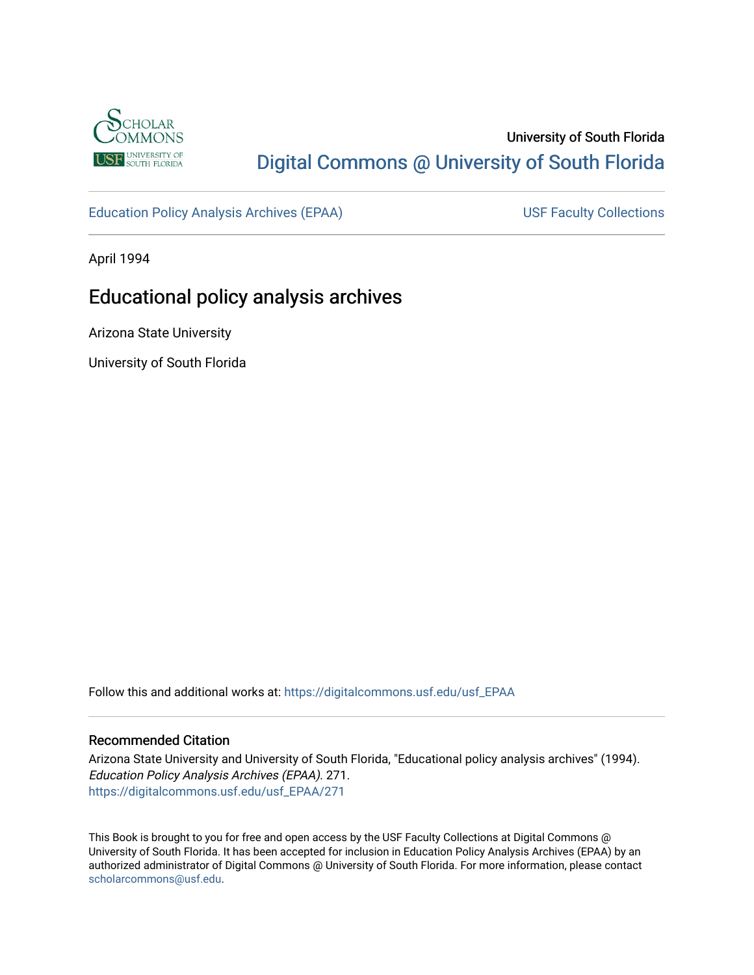

## University of South Florida [Digital Commons @ University of South Florida](https://digitalcommons.usf.edu/)

[Education Policy Analysis Archives \(EPAA\)](https://digitalcommons.usf.edu/usf_EPAA) USF Faculty Collections

April 1994

# Educational policy analysis archives

Arizona State University

University of South Florida

Follow this and additional works at: [https://digitalcommons.usf.edu/usf\\_EPAA](https://digitalcommons.usf.edu/usf_EPAA?utm_source=digitalcommons.usf.edu%2Fusf_EPAA%2F271&utm_medium=PDF&utm_campaign=PDFCoverPages)

#### Recommended Citation

Arizona State University and University of South Florida, "Educational policy analysis archives" (1994). Education Policy Analysis Archives (EPAA). 271. [https://digitalcommons.usf.edu/usf\\_EPAA/271](https://digitalcommons.usf.edu/usf_EPAA/271?utm_source=digitalcommons.usf.edu%2Fusf_EPAA%2F271&utm_medium=PDF&utm_campaign=PDFCoverPages)

This Book is brought to you for free and open access by the USF Faculty Collections at Digital Commons @ University of South Florida. It has been accepted for inclusion in Education Policy Analysis Archives (EPAA) by an authorized administrator of Digital Commons @ University of South Florida. For more information, please contact [scholarcommons@usf.edu.](mailto:scholarcommons@usf.edu)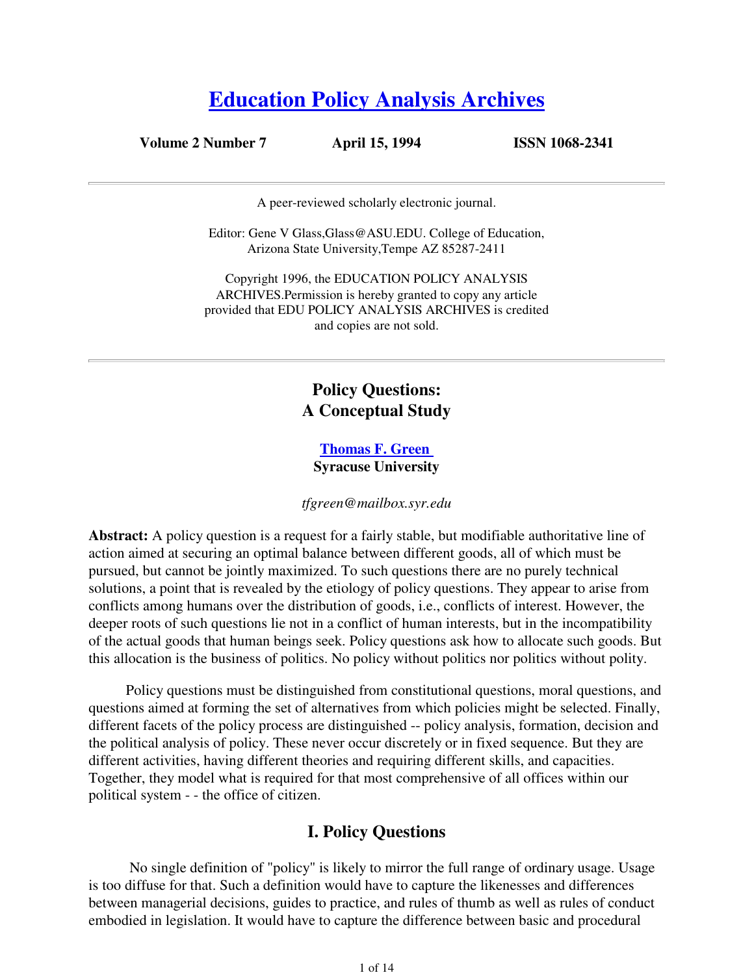# **Education Policy Analysis Archives**

**Volume 2 Number 7 April 15, 1994 ISSN 1068-2341**

A peer-reviewed scholarly electronic journal.

Editor: Gene V Glass,Glass@ASU.EDU. College of Education, Arizona State University,Tempe AZ 85287-2411

Copyright 1996, the EDUCATION POLICY ANALYSIS ARCHIVES.Permission is hereby granted to copy any article provided that EDU POLICY ANALYSIS ARCHIVES is credited and copies are not sold.

## **Policy Questions: A Conceptual Study**

#### **Thomas F. Green Syracuse University**

*tfgreen@mailbox.syr.edu*

**Abstract:** A policy question is a request for a fairly stable, but modifiable authoritative line of action aimed at securing an optimal balance between different goods, all of which must be pursued, but cannot be jointly maximized. To such questions there are no purely technical solutions, a point that is revealed by the etiology of policy questions. They appear to arise from conflicts among humans over the distribution of goods, i.e., conflicts of interest. However, the deeper roots of such questions lie not in a conflict of human interests, but in the incompatibility of the actual goods that human beings seek. Policy questions ask how to allocate such goods. But this allocation is the business of politics. No policy without politics nor politics without polity.

Policy questions must be distinguished from constitutional questions, moral questions, and questions aimed at forming the set of alternatives from which policies might be selected. Finally, different facets of the policy process are distinguished -- policy analysis, formation, decision and the political analysis of policy. These never occur discretely or in fixed sequence. But they are different activities, having different theories and requiring different skills, and capacities. Together, they model what is required for that most comprehensive of all offices within our political system - - the office of citizen.

## **I. Policy Questions**

 No single definition of "policy" is likely to mirror the full range of ordinary usage. Usage is too diffuse for that. Such a definition would have to capture the likenesses and differences between managerial decisions, guides to practice, and rules of thumb as well as rules of conduct embodied in legislation. It would have to capture the difference between basic and procedural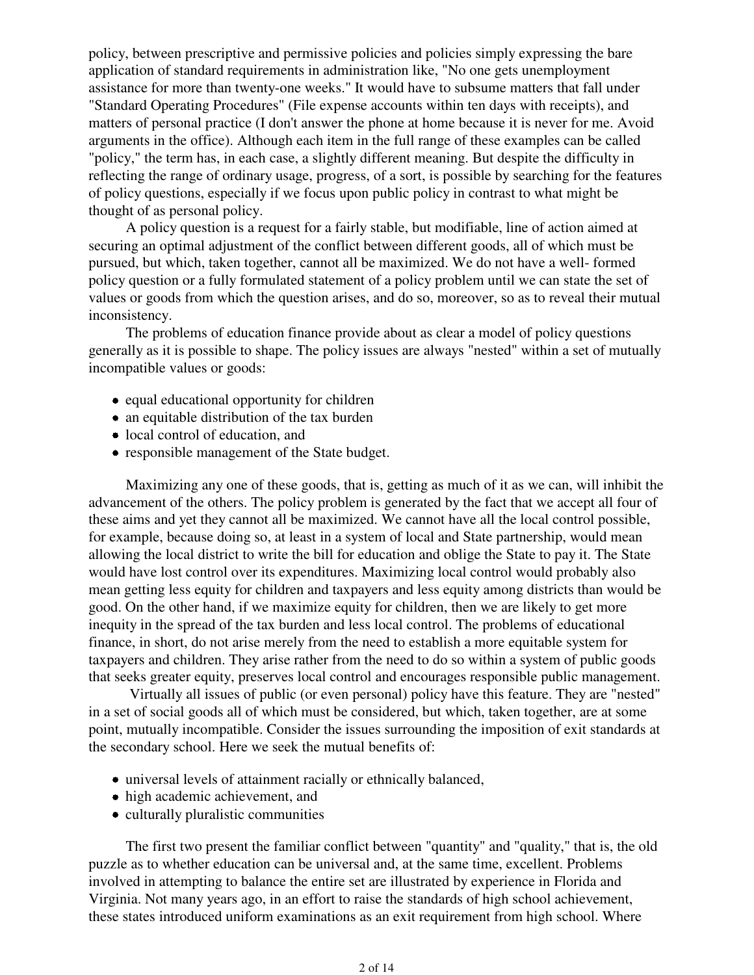policy, between prescriptive and permissive policies and policies simply expressing the bare application of standard requirements in administration like, "No one gets unemployment assistance for more than twenty-one weeks." It would have to subsume matters that fall under "Standard Operating Procedures" (File expense accounts within ten days with receipts), and matters of personal practice (I don't answer the phone at home because it is never for me. Avoid arguments in the office). Although each item in the full range of these examples can be called "policy," the term has, in each case, a slightly different meaning. But despite the difficulty in reflecting the range of ordinary usage, progress, of a sort, is possible by searching for the features of policy questions, especially if we focus upon public policy in contrast to what might be thought of as personal policy.

A policy question is a request for a fairly stable, but modifiable, line of action aimed at securing an optimal adjustment of the conflict between different goods, all of which must be pursued, but which, taken together, cannot all be maximized. We do not have a well- formed policy question or a fully formulated statement of a policy problem until we can state the set of values or goods from which the question arises, and do so, moreover, so as to reveal their mutual inconsistency.

The problems of education finance provide about as clear a model of policy questions generally as it is possible to shape. The policy issues are always "nested" within a set of mutually incompatible values or goods:

- equal educational opportunity for children
- an equitable distribution of the tax burden
- local control of education, and
- responsible management of the State budget.

Maximizing any one of these goods, that is, getting as much of it as we can, will inhibit the advancement of the others. The policy problem is generated by the fact that we accept all four of these aims and yet they cannot all be maximized. We cannot have all the local control possible, for example, because doing so, at least in a system of local and State partnership, would mean allowing the local district to write the bill for education and oblige the State to pay it. The State would have lost control over its expenditures. Maximizing local control would probably also mean getting less equity for children and taxpayers and less equity among districts than would be good. On the other hand, if we maximize equity for children, then we are likely to get more inequity in the spread of the tax burden and less local control. The problems of educational finance, in short, do not arise merely from the need to establish a more equitable system for taxpayers and children. They arise rather from the need to do so within a system of public goods that seeks greater equity, preserves local control and encourages responsible public management.

 Virtually all issues of public (or even personal) policy have this feature. They are "nested" in a set of social goods all of which must be considered, but which, taken together, are at some point, mutually incompatible. Consider the issues surrounding the imposition of exit standards at the secondary school. Here we seek the mutual benefits of:

- universal levels of attainment racially or ethnically balanced,
- high academic achievement, and
- culturally pluralistic communities

The first two present the familiar conflict between "quantity" and "quality," that is, the old puzzle as to whether education can be universal and, at the same time, excellent. Problems involved in attempting to balance the entire set are illustrated by experience in Florida and Virginia. Not many years ago, in an effort to raise the standards of high school achievement, these states introduced uniform examinations as an exit requirement from high school. Where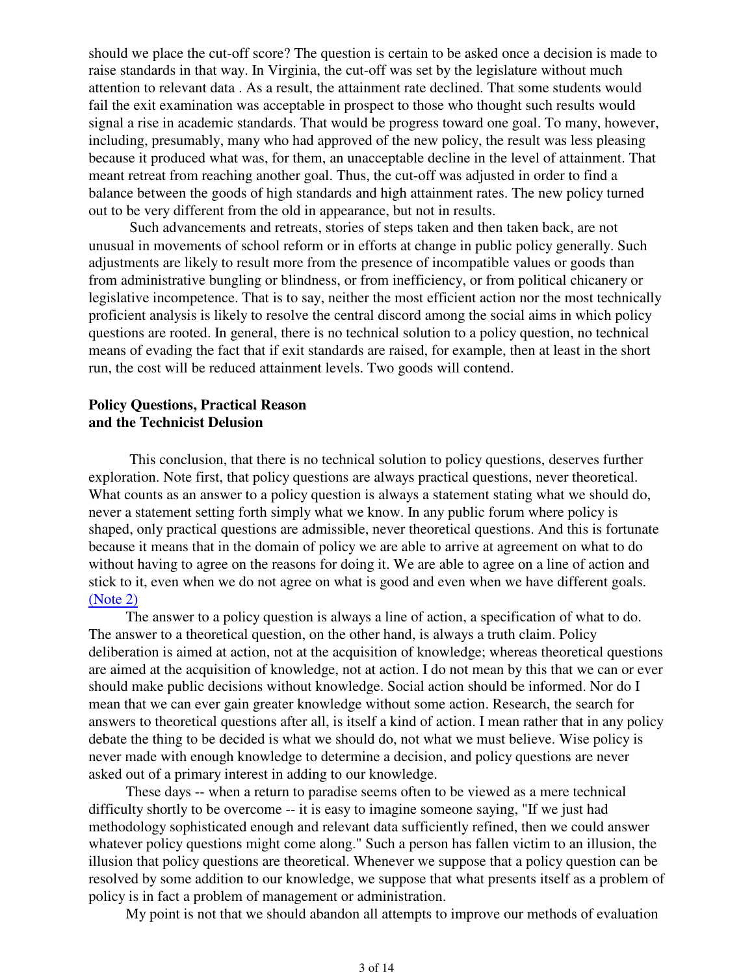should we place the cut-off score? The question is certain to be asked once a decision is made to raise standards in that way. In Virginia, the cut-off was set by the legislature without much attention to relevant data . As a result, the attainment rate declined. That some students would fail the exit examination was acceptable in prospect to those who thought such results would signal a rise in academic standards. That would be progress toward one goal. To many, however, including, presumably, many who had approved of the new policy, the result was less pleasing because it produced what was, for them, an unacceptable decline in the level of attainment. That meant retreat from reaching another goal. Thus, the cut-off was adjusted in order to find a balance between the goods of high standards and high attainment rates. The new policy turned out to be very different from the old in appearance, but not in results.

 Such advancements and retreats, stories of steps taken and then taken back, are not unusual in movements of school reform or in efforts at change in public policy generally. Such adjustments are likely to result more from the presence of incompatible values or goods than from administrative bungling or blindness, or from inefficiency, or from political chicanery or legislative incompetence. That is to say, neither the most efficient action nor the most technically proficient analysis is likely to resolve the central discord among the social aims in which policy questions are rooted. In general, there is no technical solution to a policy question, no technical means of evading the fact that if exit standards are raised, for example, then at least in the short run, the cost will be reduced attainment levels. Two goods will contend.

#### **Policy Questions, Practical Reason and the Technicist Delusion**

 This conclusion, that there is no technical solution to policy questions, deserves further exploration. Note first, that policy questions are always practical questions, never theoretical. What counts as an answer to a policy question is always a statement stating what we should do, never a statement setting forth simply what we know. In any public forum where policy is shaped, only practical questions are admissible, never theoretical questions. And this is fortunate because it means that in the domain of policy we are able to arrive at agreement on what to do without having to agree on the reasons for doing it. We are able to agree on a line of action and stick to it, even when we do not agree on what is good and even when we have different goals. (Note 2)

The answer to a policy question is always a line of action, a specification of what to do. The answer to a theoretical question, on the other hand, is always a truth claim. Policy deliberation is aimed at action, not at the acquisition of knowledge; whereas theoretical questions are aimed at the acquisition of knowledge, not at action. I do not mean by this that we can or ever should make public decisions without knowledge. Social action should be informed. Nor do I mean that we can ever gain greater knowledge without some action. Research, the search for answers to theoretical questions after all, is itself a kind of action. I mean rather that in any policy debate the thing to be decided is what we should do, not what we must believe. Wise policy is never made with enough knowledge to determine a decision, and policy questions are never asked out of a primary interest in adding to our knowledge.

These days -- when a return to paradise seems often to be viewed as a mere technical difficulty shortly to be overcome -- it is easy to imagine someone saying, "If we just had methodology sophisticated enough and relevant data sufficiently refined, then we could answer whatever policy questions might come along." Such a person has fallen victim to an illusion, the illusion that policy questions are theoretical. Whenever we suppose that a policy question can be resolved by some addition to our knowledge, we suppose that what presents itself as a problem of policy is in fact a problem of management or administration.

My point is not that we should abandon all attempts to improve our methods of evaluation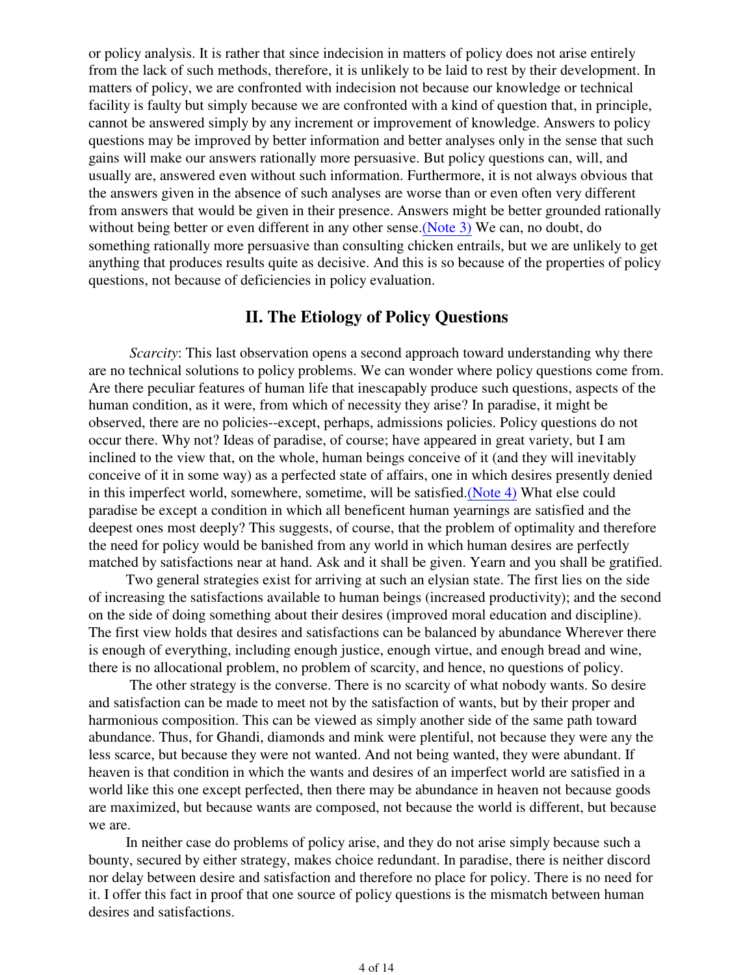or policy analysis. It is rather that since indecision in matters of policy does not arise entirely from the lack of such methods, therefore, it is unlikely to be laid to rest by their development. In matters of policy, we are confronted with indecision not because our knowledge or technical facility is faulty but simply because we are confronted with a kind of question that, in principle, cannot be answered simply by any increment or improvement of knowledge. Answers to policy questions may be improved by better information and better analyses only in the sense that such gains will make our answers rationally more persuasive. But policy questions can, will, and usually are, answered even without such information. Furthermore, it is not always obvious that the answers given in the absence of such analyses are worse than or even often very different from answers that would be given in their presence. Answers might be better grounded rationally without being better or even different in any other sense. (Note 3) We can, no doubt, do something rationally more persuasive than consulting chicken entrails, but we are unlikely to get anything that produces results quite as decisive. And this is so because of the properties of policy questions, not because of deficiencies in policy evaluation.

#### **II. The Etiology of Policy Questions**

 *Scarcity*: This last observation opens a second approach toward understanding why there are no technical solutions to policy problems. We can wonder where policy questions come from. Are there peculiar features of human life that inescapably produce such questions, aspects of the human condition, as it were, from which of necessity they arise? In paradise, it might be observed, there are no policies--except, perhaps, admissions policies. Policy questions do not occur there. Why not? Ideas of paradise, of course; have appeared in great variety, but I am inclined to the view that, on the whole, human beings conceive of it (and they will inevitably conceive of it in some way) as a perfected state of affairs, one in which desires presently denied in this imperfect world, somewhere, sometime, will be satisfied.(Note 4) What else could paradise be except a condition in which all beneficent human yearnings are satisfied and the deepest ones most deeply? This suggests, of course, that the problem of optimality and therefore the need for policy would be banished from any world in which human desires are perfectly matched by satisfactions near at hand. Ask and it shall be given. Yearn and you shall be gratified.

Two general strategies exist for arriving at such an elysian state. The first lies on the side of increasing the satisfactions available to human beings (increased productivity); and the second on the side of doing something about their desires (improved moral education and discipline). The first view holds that desires and satisfactions can be balanced by abundance Wherever there is enough of everything, including enough justice, enough virtue, and enough bread and wine, there is no allocational problem, no problem of scarcity, and hence, no questions of policy.

 The other strategy is the converse. There is no scarcity of what nobody wants. So desire and satisfaction can be made to meet not by the satisfaction of wants, but by their proper and harmonious composition. This can be viewed as simply another side of the same path toward abundance. Thus, for Ghandi, diamonds and mink were plentiful, not because they were any the less scarce, but because they were not wanted. And not being wanted, they were abundant. If heaven is that condition in which the wants and desires of an imperfect world are satisfied in a world like this one except perfected, then there may be abundance in heaven not because goods are maximized, but because wants are composed, not because the world is different, but because we are.

In neither case do problems of policy arise, and they do not arise simply because such a bounty, secured by either strategy, makes choice redundant. In paradise, there is neither discord nor delay between desire and satisfaction and therefore no place for policy. There is no need for it. I offer this fact in proof that one source of policy questions is the mismatch between human desires and satisfactions.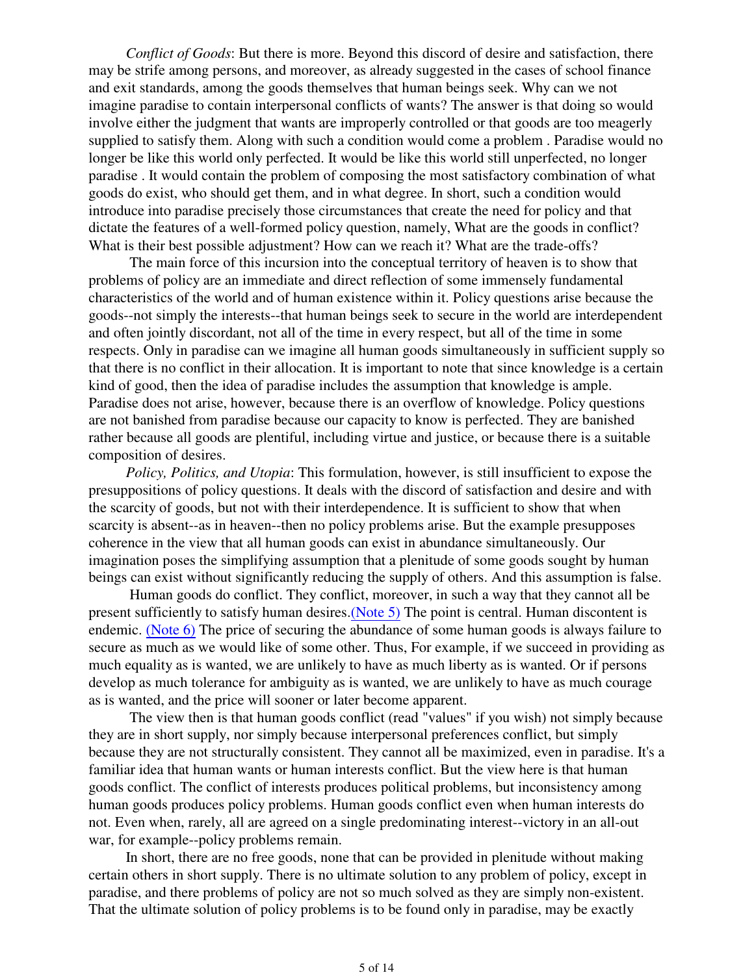*Conflict of Goods*: But there is more. Beyond this discord of desire and satisfaction, there may be strife among persons, and moreover, as already suggested in the cases of school finance and exit standards, among the goods themselves that human beings seek. Why can we not imagine paradise to contain interpersonal conflicts of wants? The answer is that doing so would involve either the judgment that wants are improperly controlled or that goods are too meagerly supplied to satisfy them. Along with such a condition would come a problem . Paradise would no longer be like this world only perfected. It would be like this world still unperfected, no longer paradise . It would contain the problem of composing the most satisfactory combination of what goods do exist, who should get them, and in what degree. In short, such a condition would introduce into paradise precisely those circumstances that create the need for policy and that dictate the features of a well-formed policy question, namely, What are the goods in conflict? What is their best possible adjustment? How can we reach it? What are the trade-offs?

 The main force of this incursion into the conceptual territory of heaven is to show that problems of policy are an immediate and direct reflection of some immensely fundamental characteristics of the world and of human existence within it. Policy questions arise because the goods--not simply the interests--that human beings seek to secure in the world are interdependent and often jointly discordant, not all of the time in every respect, but all of the time in some respects. Only in paradise can we imagine all human goods simultaneously in sufficient supply so that there is no conflict in their allocation. It is important to note that since knowledge is a certain kind of good, then the idea of paradise includes the assumption that knowledge is ample. Paradise does not arise, however, because there is an overflow of knowledge. Policy questions are not banished from paradise because our capacity to know is perfected. They are banished rather because all goods are plentiful, including virtue and justice, or because there is a suitable composition of desires.

*Policy, Politics, and Utopia*: This formulation, however, is still insufficient to expose the presuppositions of policy questions. It deals with the discord of satisfaction and desire and with the scarcity of goods, but not with their interdependence. It is sufficient to show that when scarcity is absent--as in heaven--then no policy problems arise. But the example presupposes coherence in the view that all human goods can exist in abundance simultaneously. Our imagination poses the simplifying assumption that a plenitude of some goods sought by human beings can exist without significantly reducing the supply of others. And this assumption is false.

 Human goods do conflict. They conflict, moreover, in such a way that they cannot all be present sufficiently to satisfy human desires.(Note 5) The point is central. Human discontent is endemic. (Note 6) The price of securing the abundance of some human goods is always failure to secure as much as we would like of some other. Thus, For example, if we succeed in providing as much equality as is wanted, we are unlikely to have as much liberty as is wanted. Or if persons develop as much tolerance for ambiguity as is wanted, we are unlikely to have as much courage as is wanted, and the price will sooner or later become apparent.

 The view then is that human goods conflict (read "values" if you wish) not simply because they are in short supply, nor simply because interpersonal preferences conflict, but simply because they are not structurally consistent. They cannot all be maximized, even in paradise. It's a familiar idea that human wants or human interests conflict. But the view here is that human goods conflict. The conflict of interests produces political problems, but inconsistency among human goods produces policy problems. Human goods conflict even when human interests do not. Even when, rarely, all are agreed on a single predominating interest--victory in an all-out war, for example--policy problems remain.

In short, there are no free goods, none that can be provided in plenitude without making certain others in short supply. There is no ultimate solution to any problem of policy, except in paradise, and there problems of policy are not so much solved as they are simply non-existent. That the ultimate solution of policy problems is to be found only in paradise, may be exactly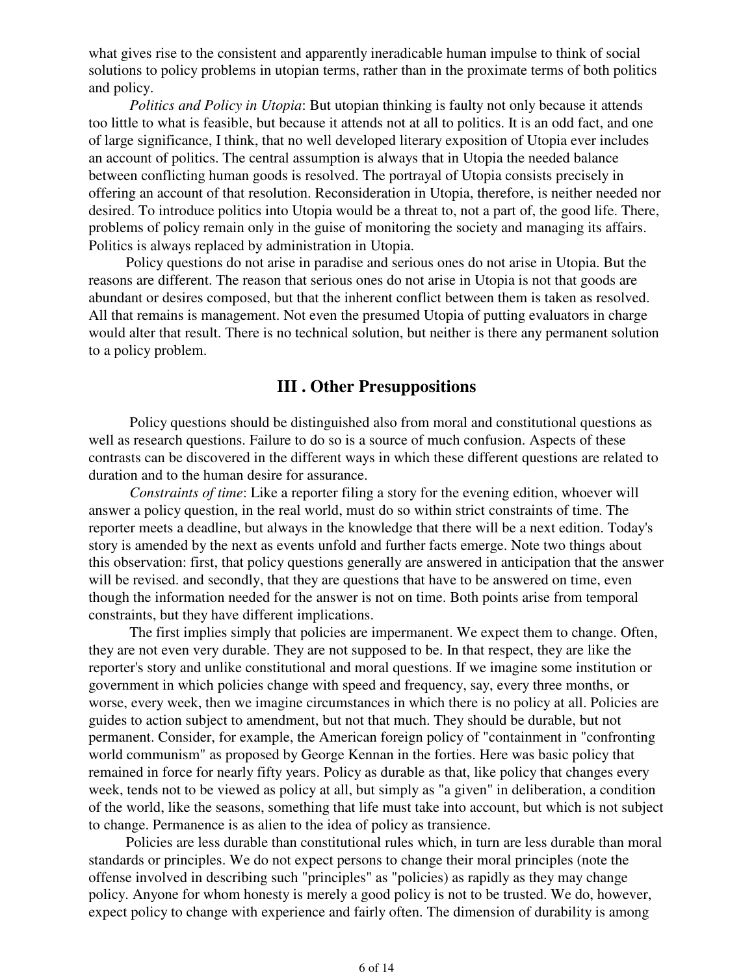what gives rise to the consistent and apparently ineradicable human impulse to think of social solutions to policy problems in utopian terms, rather than in the proximate terms of both politics and policy.

 *Politics and Policy in Utopia*: But utopian thinking is faulty not only because it attends too little to what is feasible, but because it attends not at all to politics. It is an odd fact, and one of large significance, I think, that no well developed literary exposition of Utopia ever includes an account of politics. The central assumption is always that in Utopia the needed balance between conflicting human goods is resolved. The portrayal of Utopia consists precisely in offering an account of that resolution. Reconsideration in Utopia, therefore, is neither needed nor desired. To introduce politics into Utopia would be a threat to, not a part of, the good life. There, problems of policy remain only in the guise of monitoring the society and managing its affairs. Politics is always replaced by administration in Utopia.

Policy questions do not arise in paradise and serious ones do not arise in Utopia. But the reasons are different. The reason that serious ones do not arise in Utopia is not that goods are abundant or desires composed, but that the inherent conflict between them is taken as resolved. All that remains is management. Not even the presumed Utopia of putting evaluators in charge would alter that result. There is no technical solution, but neither is there any permanent solution to a policy problem.

#### **III . Other Presuppositions**

 Policy questions should be distinguished also from moral and constitutional questions as well as research questions. Failure to do so is a source of much confusion. Aspects of these contrasts can be discovered in the different ways in which these different questions are related to duration and to the human desire for assurance.

*Constraints of time*: Like a reporter filing a story for the evening edition, whoever will answer a policy question, in the real world, must do so within strict constraints of time. The reporter meets a deadline, but always in the knowledge that there will be a next edition. Today's story is amended by the next as events unfold and further facts emerge. Note two things about this observation: first, that policy questions generally are answered in anticipation that the answer will be revised, and secondly, that they are questions that have to be answered on time, even though the information needed for the answer is not on time. Both points arise from temporal constraints, but they have different implications.

 The first implies simply that policies are impermanent. We expect them to change. Often, they are not even very durable. They are not supposed to be. In that respect, they are like the reporter's story and unlike constitutional and moral questions. If we imagine some institution or government in which policies change with speed and frequency, say, every three months, or worse, every week, then we imagine circumstances in which there is no policy at all. Policies are guides to action subject to amendment, but not that much. They should be durable, but not permanent. Consider, for example, the American foreign policy of "containment in "confronting world communism" as proposed by George Kennan in the forties. Here was basic policy that remained in force for nearly fifty years. Policy as durable as that, like policy that changes every week, tends not to be viewed as policy at all, but simply as "a given" in deliberation, a condition of the world, like the seasons, something that life must take into account, but which is not subject to change. Permanence is as alien to the idea of policy as transience.

Policies are less durable than constitutional rules which, in turn are less durable than moral standards or principles. We do not expect persons to change their moral principles (note the offense involved in describing such "principles" as "policies) as rapidly as they may change policy. Anyone for whom honesty is merely a good policy is not to be trusted. We do, however, expect policy to change with experience and fairly often. The dimension of durability is among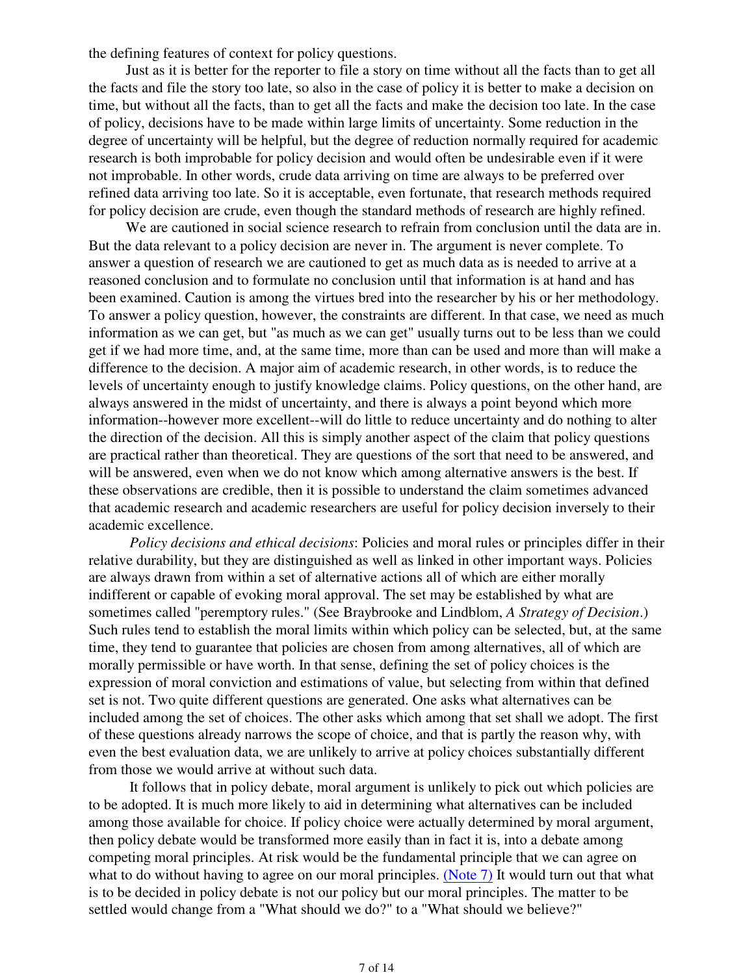the defining features of context for policy questions.

Just as it is better for the reporter to file a story on time without all the facts than to get all the facts and file the story too late, so also in the case of policy it is better to make a decision on time, but without all the facts, than to get all the facts and make the decision too late. In the case of policy, decisions have to be made within large limits of uncertainty. Some reduction in the degree of uncertainty will be helpful, but the degree of reduction normally required for academic research is both improbable for policy decision and would often be undesirable even if it were not improbable. In other words, crude data arriving on time are always to be preferred over refined data arriving too late. So it is acceptable, even fortunate, that research methods required for policy decision are crude, even though the standard methods of research are highly refined.

We are cautioned in social science research to refrain from conclusion until the data are in. But the data relevant to a policy decision are never in. The argument is never complete. To answer a question of research we are cautioned to get as much data as is needed to arrive at a reasoned conclusion and to formulate no conclusion until that information is at hand and has been examined. Caution is among the virtues bred into the researcher by his or her methodology. To answer a policy question, however, the constraints are different. In that case, we need as much information as we can get, but "as much as we can get" usually turns out to be less than we could get if we had more time, and, at the same time, more than can be used and more than will make a difference to the decision. A major aim of academic research, in other words, is to reduce the levels of uncertainty enough to justify knowledge claims. Policy questions, on the other hand, are always answered in the midst of uncertainty, and there is always a point beyond which more information--however more excellent--will do little to reduce uncertainty and do nothing to alter the direction of the decision. All this is simply another aspect of the claim that policy questions are practical rather than theoretical. They are questions of the sort that need to be answered, and will be answered, even when we do not know which among alternative answers is the best. If these observations are credible, then it is possible to understand the claim sometimes advanced that academic research and academic researchers are useful for policy decision inversely to their academic excellence.

 *Policy decisions and ethical decisions*: Policies and moral rules or principles differ in their relative durability, but they are distinguished as well as linked in other important ways. Policies are always drawn from within a set of alternative actions all of which are either morally indifferent or capable of evoking moral approval. The set may be established by what are sometimes called "peremptory rules." (See Braybrooke and Lindblom, *A Strategy of Decision*.) Such rules tend to establish the moral limits within which policy can be selected, but, at the same time, they tend to guarantee that policies are chosen from among alternatives, all of which are morally permissible or have worth. In that sense, defining the set of policy choices is the expression of moral conviction and estimations of value, but selecting from within that defined set is not. Two quite different questions are generated. One asks what alternatives can be included among the set of choices. The other asks which among that set shall we adopt. The first of these questions already narrows the scope of choice, and that is partly the reason why, with even the best evaluation data, we are unlikely to arrive at policy choices substantially different from those we would arrive at without such data.

 It follows that in policy debate, moral argument is unlikely to pick out which policies are to be adopted. It is much more likely to aid in determining what alternatives can be included among those available for choice. If policy choice were actually determined by moral argument, then policy debate would be transformed more easily than in fact it is, into a debate among competing moral principles. At risk would be the fundamental principle that we can agree on what to do without having to agree on our moral principles. (Note 7) It would turn out that what is to be decided in policy debate is not our policy but our moral principles. The matter to be settled would change from a "What should we do?" to a "What should we believe?"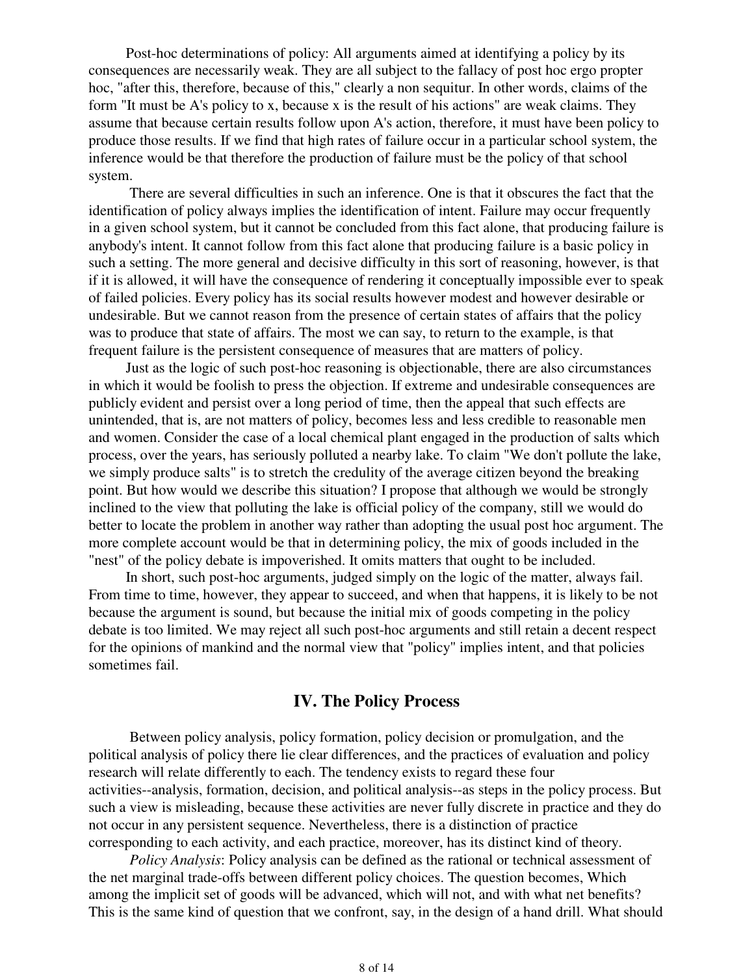Post-hoc determinations of policy: All arguments aimed at identifying a policy by its consequences are necessarily weak. They are all subject to the fallacy of post hoc ergo propter hoc, "after this, therefore, because of this," clearly a non sequitur. In other words, claims of the form "It must be A's policy to x, because x is the result of his actions" are weak claims. They assume that because certain results follow upon A's action, therefore, it must have been policy to produce those results. If we find that high rates of failure occur in a particular school system, the inference would be that therefore the production of failure must be the policy of that school system.

 There are several difficulties in such an inference. One is that it obscures the fact that the identification of policy always implies the identification of intent. Failure may occur frequently in a given school system, but it cannot be concluded from this fact alone, that producing failure is anybody's intent. It cannot follow from this fact alone that producing failure is a basic policy in such a setting. The more general and decisive difficulty in this sort of reasoning, however, is that if it is allowed, it will have the consequence of rendering it conceptually impossible ever to speak of failed policies. Every policy has its social results however modest and however desirable or undesirable. But we cannot reason from the presence of certain states of affairs that the policy was to produce that state of affairs. The most we can say, to return to the example, is that frequent failure is the persistent consequence of measures that are matters of policy.

Just as the logic of such post-hoc reasoning is objectionable, there are also circumstances in which it would be foolish to press the objection. If extreme and undesirable consequences are publicly evident and persist over a long period of time, then the appeal that such effects are unintended, that is, are not matters of policy, becomes less and less credible to reasonable men and women. Consider the case of a local chemical plant engaged in the production of salts which process, over the years, has seriously polluted a nearby lake. To claim "We don't pollute the lake, we simply produce salts" is to stretch the credulity of the average citizen beyond the breaking point. But how would we describe this situation? I propose that although we would be strongly inclined to the view that polluting the lake is official policy of the company, still we would do better to locate the problem in another way rather than adopting the usual post hoc argument. The more complete account would be that in determining policy, the mix of goods included in the "nest" of the policy debate is impoverished. It omits matters that ought to be included.

In short, such post-hoc arguments, judged simply on the logic of the matter, always fail. From time to time, however, they appear to succeed, and when that happens, it is likely to be not because the argument is sound, but because the initial mix of goods competing in the policy debate is too limited. We may reject all such post-hoc arguments and still retain a decent respect for the opinions of mankind and the normal view that "policy" implies intent, and that policies sometimes fail.

## **IV. The Policy Process**

 Between policy analysis, policy formation, policy decision or promulgation, and the political analysis of policy there lie clear differences, and the practices of evaluation and policy research will relate differently to each. The tendency exists to regard these four activities--analysis, formation, decision, and political analysis--as steps in the policy process. But such a view is misleading, because these activities are never fully discrete in practice and they do not occur in any persistent sequence. Nevertheless, there is a distinction of practice corresponding to each activity, and each practice, moreover, has its distinct kind of theory.

 *Policy Analysis*: Policy analysis can be defined as the rational or technical assessment of the net marginal trade-offs between different policy choices. The question becomes, Which among the implicit set of goods will be advanced, which will not, and with what net benefits? This is the same kind of question that we confront, say, in the design of a hand drill. What should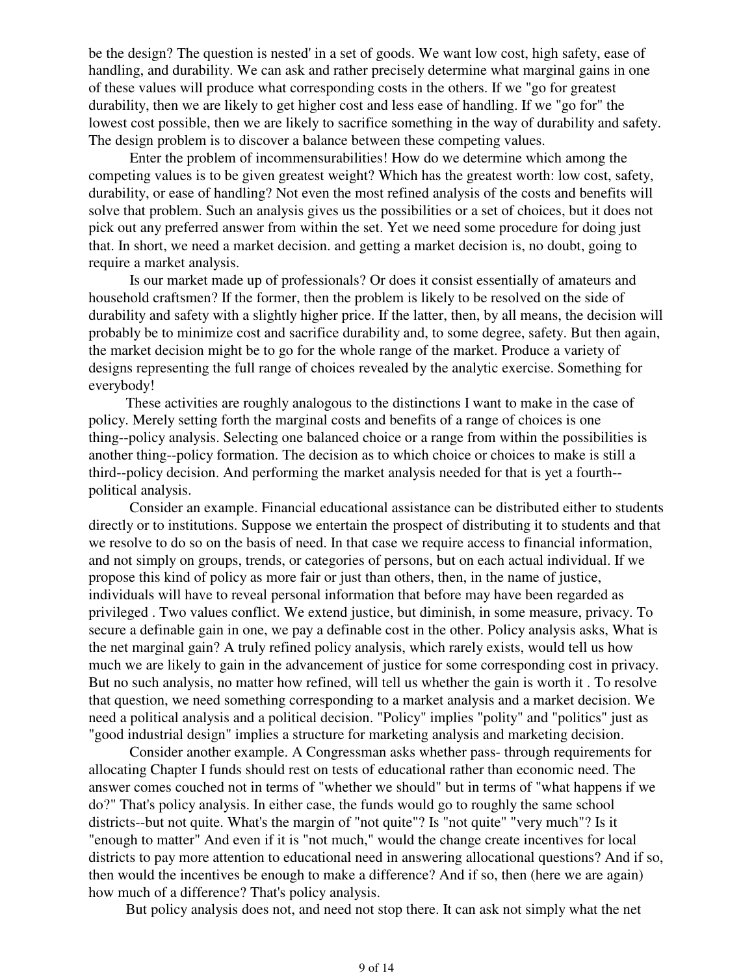be the design? The question is nested' in a set of goods. We want low cost, high safety, ease of handling, and durability. We can ask and rather precisely determine what marginal gains in one of these values will produce what corresponding costs in the others. If we "go for greatest durability, then we are likely to get higher cost and less ease of handling. If we "go for" the lowest cost possible, then we are likely to sacrifice something in the way of durability and safety. The design problem is to discover a balance between these competing values.

 Enter the problem of incommensurabilities! How do we determine which among the competing values is to be given greatest weight? Which has the greatest worth: low cost, safety, durability, or ease of handling? Not even the most refined analysis of the costs and benefits will solve that problem. Such an analysis gives us the possibilities or a set of choices, but it does not pick out any preferred answer from within the set. Yet we need some procedure for doing just that. In short, we need a market decision. and getting a market decision is, no doubt, going to require a market analysis.

 Is our market made up of professionals? Or does it consist essentially of amateurs and household craftsmen? If the former, then the problem is likely to be resolved on the side of durability and safety with a slightly higher price. If the latter, then, by all means, the decision will probably be to minimize cost and sacrifice durability and, to some degree, safety. But then again, the market decision might be to go for the whole range of the market. Produce a variety of designs representing the full range of choices revealed by the analytic exercise. Something for everybody!

These activities are roughly analogous to the distinctions I want to make in the case of policy. Merely setting forth the marginal costs and benefits of a range of choices is one thing--policy analysis. Selecting one balanced choice or a range from within the possibilities is another thing--policy formation. The decision as to which choice or choices to make is still a third--policy decision. And performing the market analysis needed for that is yet a fourth- political analysis.

 Consider an example. Financial educational assistance can be distributed either to students directly or to institutions. Suppose we entertain the prospect of distributing it to students and that we resolve to do so on the basis of need. In that case we require access to financial information, and not simply on groups, trends, or categories of persons, but on each actual individual. If we propose this kind of policy as more fair or just than others, then, in the name of justice, individuals will have to reveal personal information that before may have been regarded as privileged . Two values conflict. We extend justice, but diminish, in some measure, privacy. To secure a definable gain in one, we pay a definable cost in the other. Policy analysis asks, What is the net marginal gain? A truly refined policy analysis, which rarely exists, would tell us how much we are likely to gain in the advancement of justice for some corresponding cost in privacy. But no such analysis, no matter how refined, will tell us whether the gain is worth it . To resolve that question, we need something corresponding to a market analysis and a market decision. We need a political analysis and a political decision. "Policy" implies "polity" and "politics" just as "good industrial design" implies a structure for marketing analysis and marketing decision.

 Consider another example. A Congressman asks whether pass- through requirements for allocating Chapter I funds should rest on tests of educational rather than economic need. The answer comes couched not in terms of "whether we should" but in terms of "what happens if we do?" That's policy analysis. In either case, the funds would go to roughly the same school districts--but not quite. What's the margin of "not quite"? Is "not quite" "very much"? Is it "enough to matter" And even if it is "not much," would the change create incentives for local districts to pay more attention to educational need in answering allocational questions? And if so, then would the incentives be enough to make a difference? And if so, then (here we are again) how much of a difference? That's policy analysis.

But policy analysis does not, and need not stop there. It can ask not simply what the net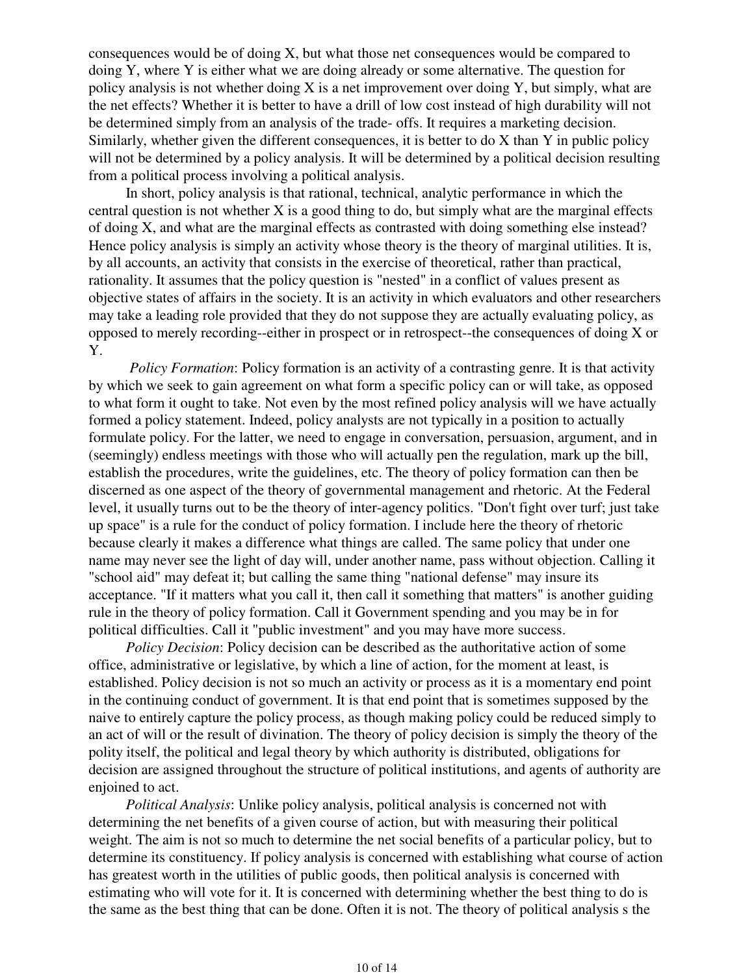consequences would be of doing X, but what those net consequences would be compared to doing Y, where Y is either what we are doing already or some alternative. The question for policy analysis is not whether doing  $X$  is a net improvement over doing  $Y$ , but simply, what are the net effects? Whether it is better to have a drill of low cost instead of high durability will not be determined simply from an analysis of the trade- offs. It requires a marketing decision. Similarly, whether given the different consequences, it is better to do X than Y in public policy will not be determined by a policy analysis. It will be determined by a political decision resulting from a political process involving a political analysis.

In short, policy analysis is that rational, technical, analytic performance in which the central question is not whether X is a good thing to do, but simply what are the marginal effects of doing X, and what are the marginal effects as contrasted with doing something else instead? Hence policy analysis is simply an activity whose theory is the theory of marginal utilities. It is, by all accounts, an activity that consists in the exercise of theoretical, rather than practical, rationality. It assumes that the policy question is "nested" in a conflict of values present as objective states of affairs in the society. It is an activity in which evaluators and other researchers may take a leading role provided that they do not suppose they are actually evaluating policy, as opposed to merely recording--either in prospect or in retrospect--the consequences of doing X or Y.

*Policy Formation*: Policy formation is an activity of a contrasting genre. It is that activity by which we seek to gain agreement on what form a specific policy can or will take, as opposed to what form it ought to take. Not even by the most refined policy analysis will we have actually formed a policy statement. Indeed, policy analysts are not typically in a position to actually formulate policy. For the latter, we need to engage in conversation, persuasion, argument, and in (seemingly) endless meetings with those who will actually pen the regulation, mark up the bill, establish the procedures, write the guidelines, etc. The theory of policy formation can then be discerned as one aspect of the theory of governmental management and rhetoric. At the Federal level, it usually turns out to be the theory of inter-agency politics. "Don't fight over turf; just take up space" is a rule for the conduct of policy formation. I include here the theory of rhetoric because clearly it makes a difference what things are called. The same policy that under one name may never see the light of day will, under another name, pass without objection. Calling it "school aid" may defeat it; but calling the same thing "national defense" may insure its acceptance. "If it matters what you call it, then call it something that matters" is another guiding rule in the theory of policy formation. Call it Government spending and you may be in for political difficulties. Call it "public investment" and you may have more success.

*Policy Decision*: Policy decision can be described as the authoritative action of some office, administrative or legislative, by which a line of action, for the moment at least, is established. Policy decision is not so much an activity or process as it is a momentary end point in the continuing conduct of government. It is that end point that is sometimes supposed by the naive to entirely capture the policy process, as though making policy could be reduced simply to an act of will or the result of divination. The theory of policy decision is simply the theory of the polity itself, the political and legal theory by which authority is distributed, obligations for decision are assigned throughout the structure of political institutions, and agents of authority are enioined to act.

*Political Analysis*: Unlike policy analysis, political analysis is concerned not with determining the net benefits of a given course of action, but with measuring their political weight. The aim is not so much to determine the net social benefits of a particular policy, but to determine its constituency. If policy analysis is concerned with establishing what course of action has greatest worth in the utilities of public goods, then political analysis is concerned with estimating who will vote for it. It is concerned with determining whether the best thing to do is the same as the best thing that can be done. Often it is not. The theory of political analysis s the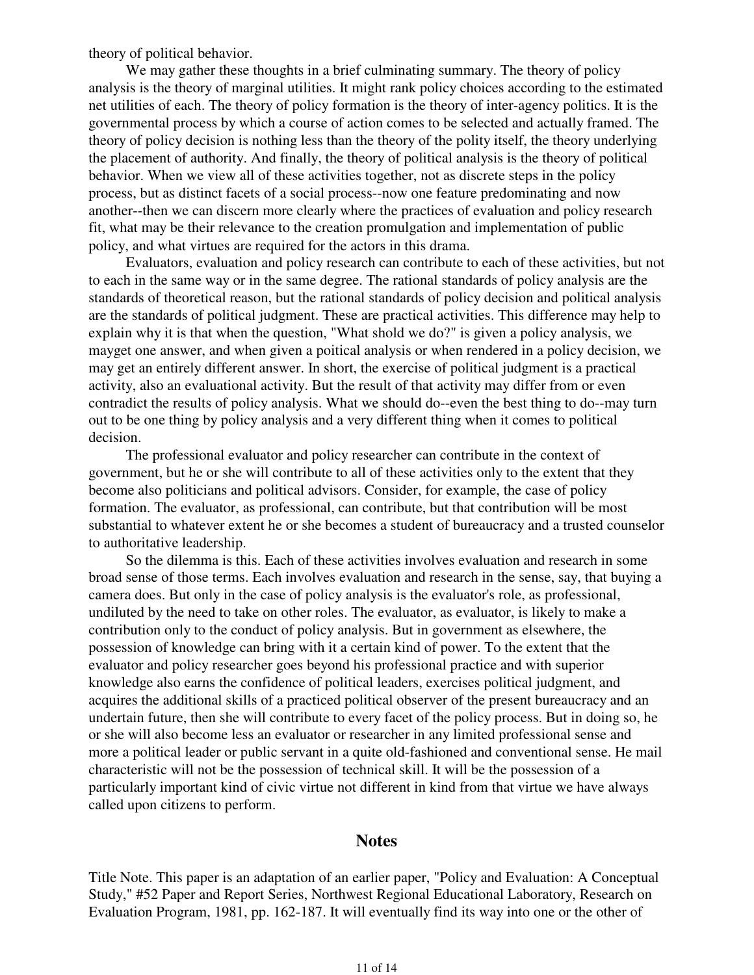theory of political behavior.

We may gather these thoughts in a brief culminating summary. The theory of policy analysis is the theory of marginal utilities. It might rank policy choices according to the estimated net utilities of each. The theory of policy formation is the theory of inter-agency politics. It is the governmental process by which a course of action comes to be selected and actually framed. The theory of policy decision is nothing less than the theory of the polity itself, the theory underlying the placement of authority. And finally, the theory of political analysis is the theory of political behavior. When we view all of these activities together, not as discrete steps in the policy process, but as distinct facets of a social process--now one feature predominating and now another--then we can discern more clearly where the practices of evaluation and policy research fit, what may be their relevance to the creation promulgation and implementation of public policy, and what virtues are required for the actors in this drama.

Evaluators, evaluation and policy research can contribute to each of these activities, but not to each in the same way or in the same degree. The rational standards of policy analysis are the standards of theoretical reason, but the rational standards of policy decision and political analysis are the standards of political judgment. These are practical activities. This difference may help to explain why it is that when the question, "What shold we do?" is given a policy analysis, we mayget one answer, and when given a poitical analysis or when rendered in a policy decision, we may get an entirely different answer. In short, the exercise of political judgment is a practical activity, also an evaluational activity. But the result of that activity may differ from or even contradict the results of policy analysis. What we should do--even the best thing to do--may turn out to be one thing by policy analysis and a very different thing when it comes to political decision.

The professional evaluator and policy researcher can contribute in the context of government, but he or she will contribute to all of these activities only to the extent that they become also politicians and political advisors. Consider, for example, the case of policy formation. The evaluator, as professional, can contribute, but that contribution will be most substantial to whatever extent he or she becomes a student of bureaucracy and a trusted counselor to authoritative leadership.

So the dilemma is this. Each of these activities involves evaluation and research in some broad sense of those terms. Each involves evaluation and research in the sense, say, that buying a camera does. But only in the case of policy analysis is the evaluator's role, as professional, undiluted by the need to take on other roles. The evaluator, as evaluator, is likely to make a contribution only to the conduct of policy analysis. But in government as elsewhere, the possession of knowledge can bring with it a certain kind of power. To the extent that the evaluator and policy researcher goes beyond his professional practice and with superior knowledge also earns the confidence of political leaders, exercises political judgment, and acquires the additional skills of a practiced political observer of the present bureaucracy and an undertain future, then she will contribute to every facet of the policy process. But in doing so, he or she will also become less an evaluator or researcher in any limited professional sense and more a political leader or public servant in a quite old-fashioned and conventional sense. He mail characteristic will not be the possession of technical skill. It will be the possession of a particularly important kind of civic virtue not different in kind from that virtue we have always called upon citizens to perform.

#### **Notes**

Title Note. This paper is an adaptation of an earlier paper, "Policy and Evaluation: A Conceptual Study," #52 Paper and Report Series, Northwest Regional Educational Laboratory, Research on Evaluation Program, 1981, pp. 162-187. It will eventually find its way into one or the other of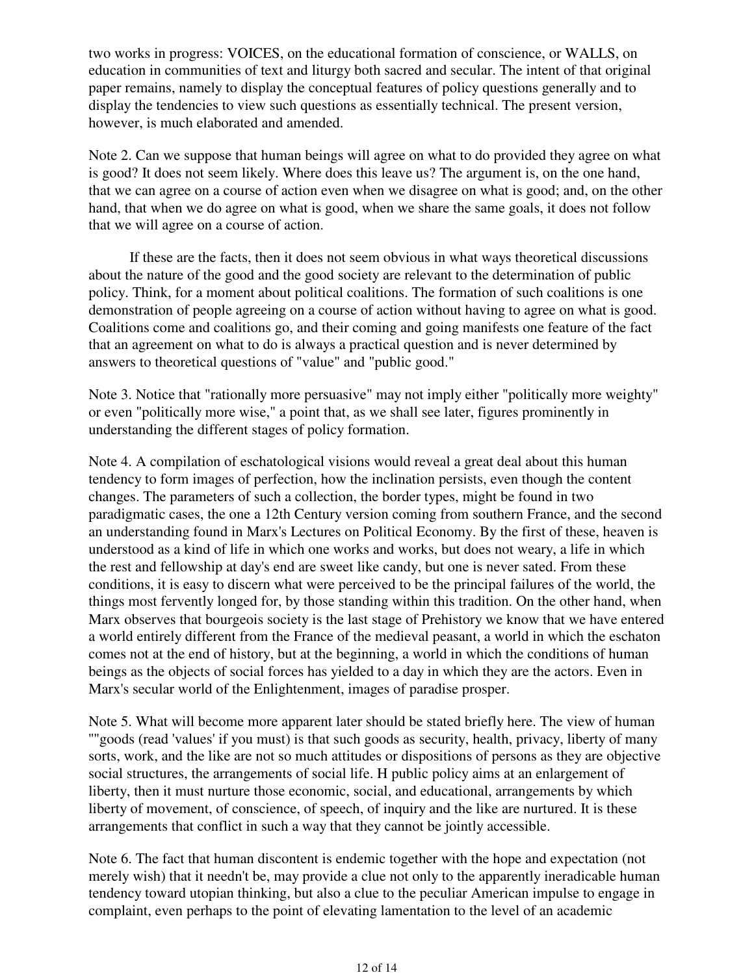two works in progress: VOICES, on the educational formation of conscience, or WALLS, on education in communities of text and liturgy both sacred and secular. The intent of that original paper remains, namely to display the conceptual features of policy questions generally and to display the tendencies to view such questions as essentially technical. The present version, however, is much elaborated and amended.

Note 2. Can we suppose that human beings will agree on what to do provided they agree on what is good? It does not seem likely. Where does this leave us? The argument is, on the one hand, that we can agree on a course of action even when we disagree on what is good; and, on the other hand, that when we do agree on what is good, when we share the same goals, it does not follow that we will agree on a course of action.

 If these are the facts, then it does not seem obvious in what ways theoretical discussions about the nature of the good and the good society are relevant to the determination of public policy. Think, for a moment about political coalitions. The formation of such coalitions is one demonstration of people agreeing on a course of action without having to agree on what is good. Coalitions come and coalitions go, and their coming and going manifests one feature of the fact that an agreement on what to do is always a practical question and is never determined by answers to theoretical questions of "value" and "public good."

Note 3. Notice that "rationally more persuasive" may not imply either "politically more weighty" or even "politically more wise," a point that, as we shall see later, figures prominently in understanding the different stages of policy formation.

Note 4. A compilation of eschatological visions would reveal a great deal about this human tendency to form images of perfection, how the inclination persists, even though the content changes. The parameters of such a collection, the border types, might be found in two paradigmatic cases, the one a 12th Century version coming from southern France, and the second an understanding found in Marx's Lectures on Political Economy. By the first of these, heaven is understood as a kind of life in which one works and works, but does not weary, a life in which the rest and fellowship at day's end are sweet like candy, but one is never sated. From these conditions, it is easy to discern what were perceived to be the principal failures of the world, the things most fervently longed for, by those standing within this tradition. On the other hand, when Marx observes that bourgeois society is the last stage of Prehistory we know that we have entered a world entirely different from the France of the medieval peasant, a world in which the eschaton comes not at the end of history, but at the beginning, a world in which the conditions of human beings as the objects of social forces has yielded to a day in which they are the actors. Even in Marx's secular world of the Enlightenment, images of paradise prosper.

Note 5. What will become more apparent later should be stated briefly here. The view of human ''"goods (read 'values' if you must) is that such goods as security, health, privacy, liberty of many sorts, work, and the like are not so much attitudes or dispositions of persons as they are objective social structures, the arrangements of social life. H public policy aims at an enlargement of liberty, then it must nurture those economic, social, and educational, arrangements by which liberty of movement, of conscience, of speech, of inquiry and the like are nurtured. It is these arrangements that conflict in such a way that they cannot be jointly accessible.

Note 6. The fact that human discontent is endemic together with the hope and expectation (not merely wish) that it needn't be, may provide a clue not only to the apparently ineradicable human tendency toward utopian thinking, but also a clue to the peculiar American impulse to engage in complaint, even perhaps to the point of elevating lamentation to the level of an academic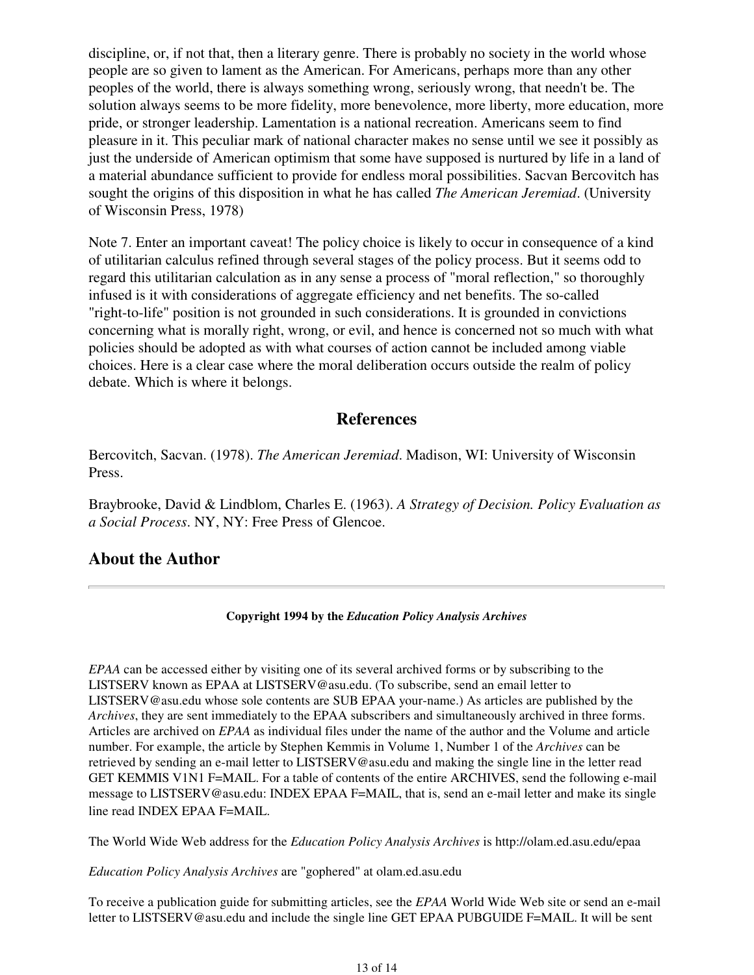discipline, or, if not that, then a literary genre. There is probably no society in the world whose people are so given to lament as the American. For Americans, perhaps more than any other peoples of the world, there is always something wrong, seriously wrong, that needn't be. The solution always seems to be more fidelity, more benevolence, more liberty, more education, more pride, or stronger leadership. Lamentation is a national recreation. Americans seem to find pleasure in it. This peculiar mark of national character makes no sense until we see it possibly as just the underside of American optimism that some have supposed is nurtured by life in a land of a material abundance sufficient to provide for endless moral possibilities. Sacvan Bercovitch has sought the origins of this disposition in what he has called *The American Jeremiad*. (University of Wisconsin Press, 1978)

Note 7. Enter an important caveat! The policy choice is likely to occur in consequence of a kind of utilitarian calculus refined through several stages of the policy process. But it seems odd to regard this utilitarian calculation as in any sense a process of "moral reflection," so thoroughly infused is it with considerations of aggregate efficiency and net benefits. The so-called "right-to-life" position is not grounded in such considerations. It is grounded in convictions concerning what is morally right, wrong, or evil, and hence is concerned not so much with what policies should be adopted as with what courses of action cannot be included among viable choices. Here is a clear case where the moral deliberation occurs outside the realm of policy debate. Which is where it belongs.

## **References**

Bercovitch, Sacvan. (1978). *The American Jeremiad*. Madison, WI: University of Wisconsin Press.

Braybrooke, David & Lindblom, Charles E. (1963). *A Strategy of Decision. Policy Evaluation as a Social Process*. NY, NY: Free Press of Glencoe.

## **About the Author**

#### **Copyright 1994 by the** *Education Policy Analysis Archives*

*EPAA* can be accessed either by visiting one of its several archived forms or by subscribing to the LISTSERV known as EPAA at LISTSERV@asu.edu. (To subscribe, send an email letter to LISTSERV@asu.edu whose sole contents are SUB EPAA your-name.) As articles are published by the *Archives*, they are sent immediately to the EPAA subscribers and simultaneously archived in three forms. Articles are archived on *EPAA* as individual files under the name of the author and the Volume and article number. For example, the article by Stephen Kemmis in Volume 1, Number 1 of the *Archives* can be retrieved by sending an e-mail letter to LISTSERV@asu.edu and making the single line in the letter read GET KEMMIS V1N1 F=MAIL. For a table of contents of the entire ARCHIVES, send the following e-mail message to LISTSERV@asu.edu: INDEX EPAA F=MAIL, that is, send an e-mail letter and make its single line read INDEX EPAA F=MAIL.

The World Wide Web address for the *Education Policy Analysis Archives* is http://olam.ed.asu.edu/epaa

*Education Policy Analysis Archives* are "gophered" at olam.ed.asu.edu

To receive a publication guide for submitting articles, see the *EPAA* World Wide Web site or send an e-mail letter to LISTSERV@asu.edu and include the single line GET EPAA PUBGUIDE F=MAIL. It will be sent